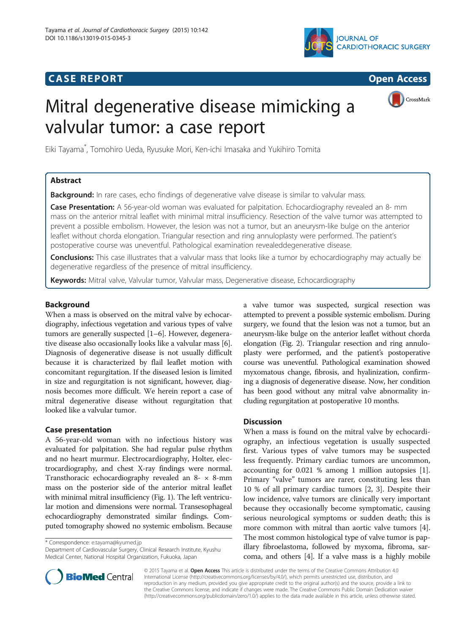# **CASE REPORT CASE REPORT CASE REPORT**



# Mitral degenerative disease mimicking a valvular tumor: a case report



Eiki Tayama\* , Tomohiro Ueda, Ryusuke Mori, Ken-ichi Imasaka and Yukihiro Tomita

# Abstract

**Background:** In rare cases, echo findings of degenerative valve disease is similar to valvular mass.

Case Presentation: A 56-year-old woman was evaluated for palpitation. Echocardiography revealed an 8- mm mass on the anterior mitral leaflet with minimal mitral insufficiency. Resection of the valve tumor was attempted to prevent a possible embolism. However, the lesion was not a tumor, but an aneurysm-like bulge on the anterior leaflet without chorda elongation. Triangular resection and ring annuloplasty were performed. The patient's postoperative course was uneventful. Pathological examination revealeddegenerative disease.

Conclusions: This case illustrates that a valvular mass that looks like a tumor by echocardiography may actually be degenerative regardless of the presence of mitral insufficiency.

**Keywords:** Mitral valve, Valvular tumor, Valvular mass, Degenerative disease, Echocardiography

# Background

When a mass is observed on the mitral valve by echocardiography, infectious vegetation and various types of valve tumors are generally suspected [\[1](#page-2-0)–[6\]](#page-2-0). However, degenerative disease also occasionally looks like a valvular mass [[6](#page-2-0)]. Diagnosis of degenerative disease is not usually difficult because it is characterized by flail leaflet motion with concomitant regurgitation. If the diseased lesion is limited in size and regurgitation is not significant, however, diagnosis becomes more difficult. We herein report a case of mitral degenerative disease without regurgitation that looked like a valvular tumor.

# Case presentation

A 56-year-old woman with no infectious history was evaluated for palpitation. She had regular pulse rhythm and no heart murmur. Electrocardiography, Holter, electrocardiography, and chest X-ray findings were normal. Transthoracic echocardiography revealed an 8- × 8-mm mass on the posterior side of the anterior mitral leaflet with minimal mitral insufficiency (Fig. [1\)](#page-1-0). The left ventricular motion and dimensions were normal. Transesophageal echocardiography demonstrated similar findings. Computed tomography showed no systemic embolism. Because

\* Correspondence: [e.tayama@kyumed.jp](mailto:e.tayama@kyumed.jp)

Department of Cardiovascular Surgery, Clinical Research Institute, Kyushu Medical Center, National Hospital Organization, Fukuoka, Japan

a valve tumor was suspected, surgical resection was attempted to prevent a possible systemic embolism. During surgery, we found that the lesion was not a tumor, but an aneurysm-like bulge on the anterior leaflet without chorda elongation (Fig. [2\)](#page-1-0). Triangular resection and ring annuloplasty were performed, and the patient's postoperative course was uneventful. Pathological examination showed myxomatous change, fibrosis, and hyalinization, confirming a diagnosis of degenerative disease. Now, her condition has been good without any mitral valve abnormality including regurgitation at postoperative 10 months.

# **Discussion**

When a mass is found on the mitral valve by echocardiography, an infectious vegetation is usually suspected first. Various types of valve tumors may be suspected less frequently. Primary cardiac tumors are uncommon, accounting for 0.021 % among 1 million autopsies [\[1](#page-2-0)]. Primary "valve" tumors are rarer, constituting less than 10 % of all primary cardiac tumors [[2, 3\]](#page-2-0). Despite their low incidence, valve tumors are clinically very important because they occasionally become symptomatic, causing serious neurological symptoms or sudden death; this is more common with mitral than aortic valve tumors [\[4](#page-2-0)]. The most common histological type of valve tumor is papillary fibroelastoma, followed by myxoma, fibroma, sarcoma, and others [[4\]](#page-2-0). If a valve mass is a highly mobile



© 2015 Tayama et al. Open Access This article is distributed under the terms of the Creative Commons Attribution 4.0 International License [\(http://creativecommons.org/licenses/by/4.0/](http://creativecommons.org/licenses/by/4.0/)), which permits unrestricted use, distribution, and reproduction in any medium, provided you give appropriate credit to the original author(s) and the source, provide a link to the Creative Commons license, and indicate if changes were made. The Creative Commons Public Domain Dedication waiver [\(http://creativecommons.org/publicdomain/zero/1.0/](http://creativecommons.org/publicdomain/zero/1.0/)) applies to the data made available in this article, unless otherwise stated.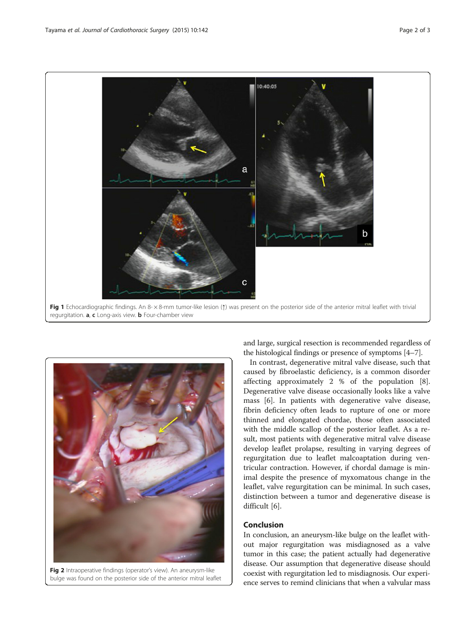<span id="page-1-0"></span>



Fig 2 Intraoperative findings (operator's view). An aneurysm-like bulge was found on the posterior side of the anterior mitral leaflet

and large, surgical resection is recommended regardless of the histological findings or presence of symptoms [\[4](#page-2-0)–[7\]](#page-2-0).

In contrast, degenerative mitral valve disease, such that caused by fibroelastic deficiency, is a common disorder affecting approximately 2 % of the population [\[8](#page-2-0)]. Degenerative valve disease occasionally looks like a valve mass [[6\]](#page-2-0). In patients with degenerative valve disease, fibrin deficiency often leads to rupture of one or more thinned and elongated chordae, those often associated with the middle scallop of the posterior leaflet. As a result, most patients with degenerative mitral valve disease develop leaflet prolapse, resulting in varying degrees of regurgitation due to leaflet malcoaptation during ventricular contraction. However, if chordal damage is minimal despite the presence of myxomatous change in the leaflet, valve regurgitation can be minimal. In such cases, distinction between a tumor and degenerative disease is difficult [\[6](#page-2-0)].

### Conclusion

In conclusion, an aneurysm-like bulge on the leaflet without major regurgitation was misdiagnosed as a valve tumor in this case; the patient actually had degenerative disease. Our assumption that degenerative disease should coexist with regurgitation led to misdiagnosis. Our experience serves to remind clinicians that when a valvular mass